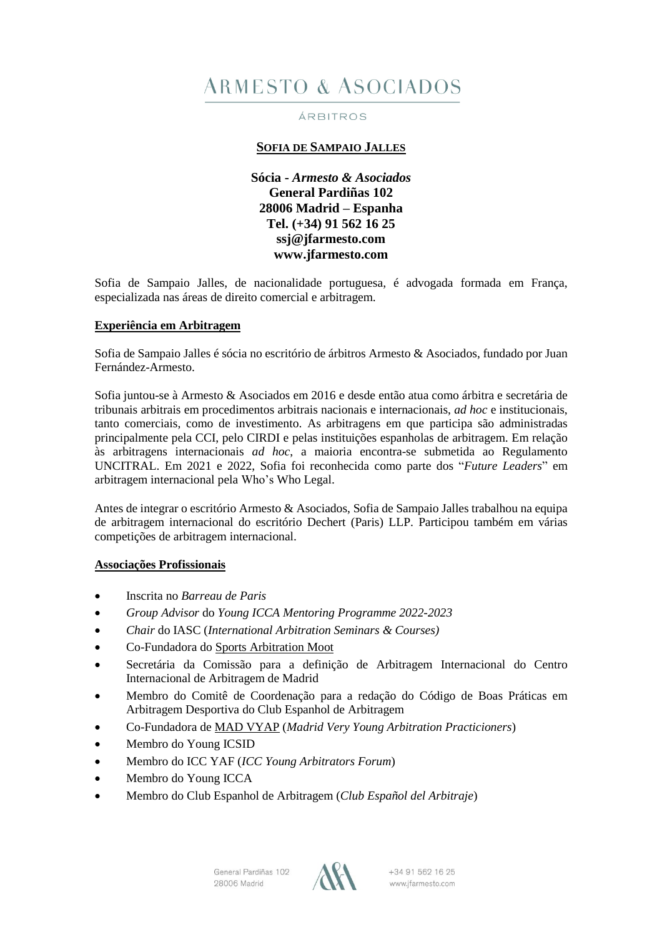# **ARMESTO & ASOCIADOS**

#### ÁRBITROS

# **SOFIA DE SAMPAIO JALLES**

**Sócia -** *Armesto & Asociados* **General Pardiñas 102 28006 Madrid – Espanha Tel. (+34) 91 562 16 25 [ssj@jfarmesto.com](mailto:ssj@jfarmesto.com) www.jfarmesto.com**

Sofia de Sampaio Jalles, de nacionalidade portuguesa, é advogada formada em França, especializada nas áreas de direito comercial e arbitragem.

#### **Experiência em Arbitragem**

Sofia de Sampaio Jalles é sócia no escritório de árbitros Armesto & Asociados, fundado por Juan Fernández-Armesto.

Sofia juntou-se à Armesto & Asociados em 2016 e desde então atua como árbitra e secretária de tribunais arbitrais em procedimentos arbitrais nacionais e internacionais, *ad hoc* e institucionais, tanto comerciais, como de investimento. As arbitragens em que participa são administradas principalmente pela CCI, pelo CIRDI e pelas instituições espanholas de arbitragem. Em relação às arbitragens internacionais *ad hoc*, a maioria encontra-se submetida ao Regulamento UNCITRAL. Em 2021 e 2022, Sofia foi reconhecida como parte dos "*Future Leaders*" em arbitragem internacional pela Who's Who Legal.

Antes de integrar o escritório Armesto & Asociados, Sofia de Sampaio Jalles trabalhou na equipa de arbitragem internacional do escritório Dechert (Paris) LLP. Participou também em várias competições de arbitragem internacional.

#### **Associações Profissionais**

- Inscrita no *Barreau de Paris*
- *Group Advisor* do *Young ICCA Mentoring Programme 2022-2023*
- *Chair* do IASC (*International Arbitration Seminars & Courses)*
- Co-Fundadora do Sports [Arbitration](https://www.sportsarbitrationmoot.com/) Moot
- Secretária da Comissão para a definição de Arbitragem Internacional do Centro Internacional de Arbitragem de Madrid
- Membro do Comitê de Coordenação para a redação do Código de Boas Práticas em Arbitragem Desportiva do Club Espanhol de Arbitragem
- Co-Fundadora de MAD [VYAP](https://www.madvyap.com/) (*Madrid Very Young Arbitration Practicioners*)
- Membro do Young ICSID
- Membro do ICC YAF (*ICC Young Arbitrators Forum*)
- Membro do Young ICCA
- Membro do Club Espanhol de Arbitragem (*Club Español del Arbitraje*)



+34 91 562 16 25 www.jfarmesto.com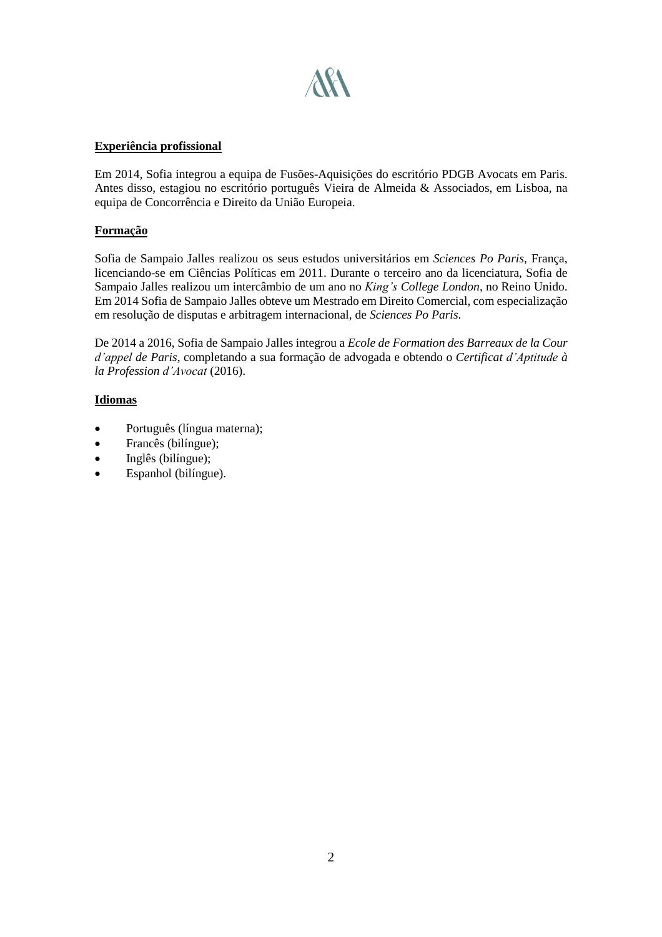

### **Experiência profissional**

Em 2014, Sofia integrou a equipa de Fusões-Aquisições do escritório PDGB Avocats em Paris. Antes disso, estagiou no escritório português Vieira de Almeida & Associados, em Lisboa, na equipa de Concorrência e Direito da União Europeia.

# **Formação**

Sofia de Sampaio Jalles realizou os seus estudos universitários em *Sciences Po Paris*, França, licenciando-se em Ciências Políticas em 2011. Durante o terceiro ano da licenciatura, Sofia de Sampaio Jalles realizou um intercâmbio de um ano no *King's College London*, no Reino Unido. Em 2014 Sofia de Sampaio Jalles obteve um Mestrado em Direito Comercial, com especialização em resolução de disputas e arbitragem internacional, de *Sciences Po Paris*.

De 2014 a 2016, Sofia de Sampaio Jalles integrou a *Ecole de Formation des Barreaux de la Cour d'appel de Paris*, completando a sua formação de advogada e obtendo o *Certificat d'Aptitude à la Profession d'Avocat* (2016).

# **Idiomas**

- Português (língua materna);
- Francês (bilíngue);
- $\bullet$  Inglês (bilingue);
- Espanhol (bilíngue).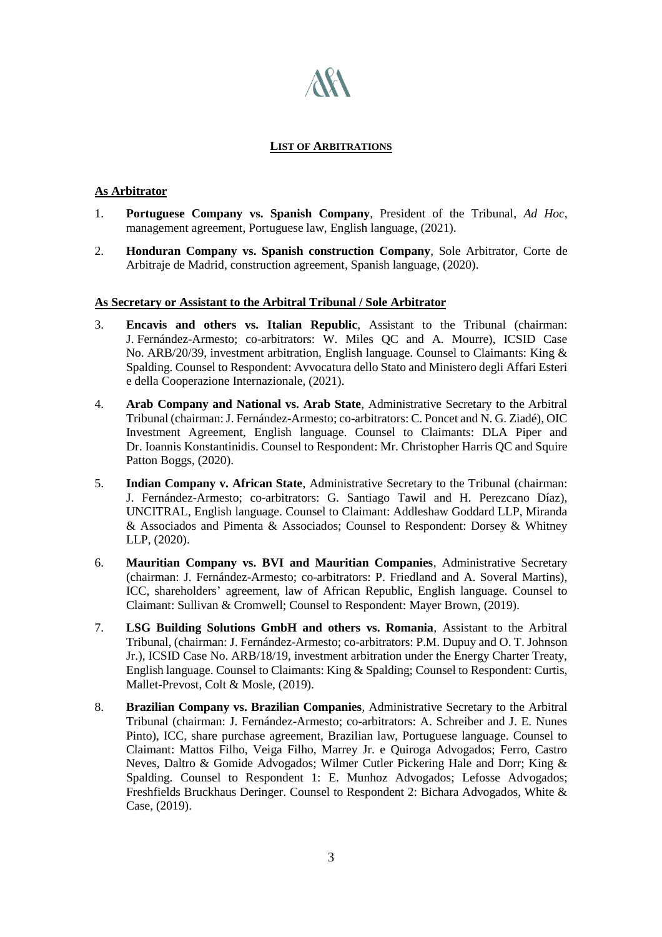# **LIST OF ARBITRATIONS**

**AK** 

### **As Arbitrator**

- 1. **Portuguese Company vs. Spanish Company**, President of the Tribunal, *Ad Hoc*, management agreement, Portuguese law, English language, (2021).
- 2. **Honduran Company vs. Spanish construction Company**, Sole Arbitrator, Corte de Arbitraje de Madrid, construction agreement, Spanish language, (2020).

#### **As Secretary or Assistant to the Arbitral Tribunal / Sole Arbitrator**

- 3. **Encavis and others vs. Italian Republic**, Assistant to the Tribunal (chairman: J. Fernández-Armesto; co-arbitrators: W. Miles QC and A. Mourre), ICSID Case No. ARB/20/39, investment arbitration, English language. Counsel to Claimants: King & Spalding. Counsel to Respondent: Avvocatura dello Stato and Ministero degli Affari Esteri e della Cooperazione Internazionale, (2021).
- 4. **Arab Company and National vs. Arab State**, Administrative Secretary to the Arbitral Tribunal (chairman: J. Fernández-Armesto; co-arbitrators: C. Poncet and N. G. Ziadé), OIC Investment Agreement, English language. Counsel to Claimants: DLA Piper and Dr. Ioannis Konstantinidis. Counsel to Respondent: Mr. Christopher Harris QC and Squire Patton Boggs, (2020).
- 5. **Indian Company v. African State**, Administrative Secretary to the Tribunal (chairman: J. Fernández-Armesto; co-arbitrators: G. Santiago Tawil and H. Perezcano Díaz), UNCITRAL, English language. Counsel to Claimant: Addleshaw Goddard LLP, Miranda & Associados and Pimenta & Associados; Counsel to Respondent: Dorsey & Whitney LLP, (2020).
- 6. **Mauritian Company vs. BVI and Mauritian Companies**, Administrative Secretary (chairman: J. Fernández-Armesto; co-arbitrators: P. Friedland and A. Soveral Martins), ICC, shareholders' agreement, law of African Republic, English language. Counsel to Claimant: Sullivan & Cromwell; Counsel to Respondent: Mayer Brown, (2019).
- 7. **LSG Building Solutions GmbH and others vs. Romania**, Assistant to the Arbitral Tribunal, (chairman: J. Fernández-Armesto; co-arbitrators: P.M. Dupuy and O. T. Johnson Jr.), ICSID Case No. ARB/18/19, investment arbitration under the Energy Charter Treaty, English language. Counsel to Claimants: King & Spalding; Counsel to Respondent: Curtis, Mallet-Prevost, Colt & Mosle, (2019).
- 8. **Brazilian Company vs. Brazilian Companies**, Administrative Secretary to the Arbitral Tribunal (chairman: J. Fernández-Armesto; co-arbitrators: A. Schreiber and J. E. Nunes Pinto), ICC, share purchase agreement, Brazilian law, Portuguese language. Counsel to Claimant: Mattos Filho, Veiga Filho, Marrey Jr. e Quiroga Advogados; Ferro, Castro Neves, Daltro & Gomide Advogados; Wilmer Cutler Pickering Hale and Dorr; King & Spalding. Counsel to Respondent 1: E. Munhoz Advogados; Lefosse Advogados; Freshfields Bruckhaus Deringer. Counsel to Respondent 2: Bichara Advogados, White & Case, (2019).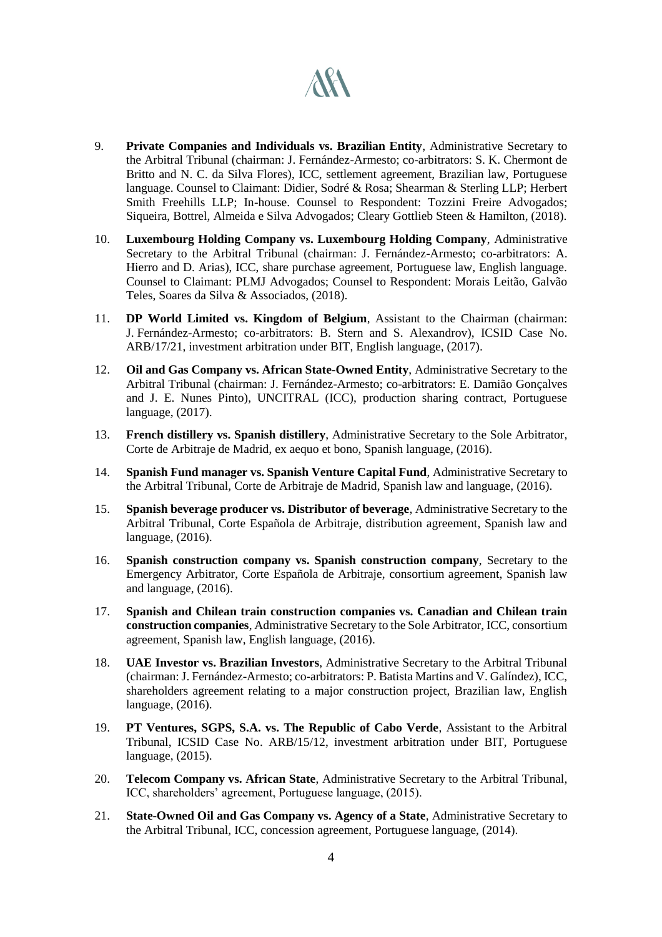# **ARA**

- 9. **Private Companies and Individuals vs. Brazilian Entity**, Administrative Secretary to the Arbitral Tribunal (chairman: J. Fernández-Armesto; co-arbitrators: S. K. Chermont de Britto and N. C. da Silva Flores), ICC, settlement agreement, Brazilian law, Portuguese language. Counsel to Claimant: Didier, Sodré & Rosa; Shearman & Sterling LLP; Herbert Smith Freehills LLP; In-house. Counsel to Respondent: Tozzini Freire Advogados; Siqueira, Bottrel, Almeida e Silva Advogados; Cleary Gottlieb Steen & Hamilton, (2018).
- 10. **Luxembourg Holding Company vs. Luxembourg Holding Company**, Administrative Secretary to the Arbitral Tribunal (chairman: J. Fernández-Armesto; co-arbitrators: A. Hierro and D. Arias), ICC, share purchase agreement, Portuguese law, English language. Counsel to Claimant: PLMJ Advogados; Counsel to Respondent: Morais Leitão, Galvão Teles, Soares da Silva & Associados, (2018).
- 11. **DP World Limited vs. Kingdom of Belgium**, Assistant to the Chairman (chairman: J. Fernández-Armesto; co-arbitrators: B. Stern and S. Alexandrov), ICSID Case No. ARB/17/21, investment arbitration under BIT, English language, (2017).
- 12. **Oil and Gas Company vs. African State-Owned Entity**, Administrative Secretary to the Arbitral Tribunal (chairman: J. Fernández-Armesto; co-arbitrators: E. Damião Gonçalves and J. E. Nunes Pinto), UNCITRAL (ICC), production sharing contract, Portuguese language, (2017).
- 13. **French distillery vs. Spanish distillery**, Administrative Secretary to the Sole Arbitrator, Corte de Arbitraje de Madrid, ex aequo et bono, Spanish language, (2016).
- 14. **Spanish Fund manager vs. Spanish Venture Capital Fund**, Administrative Secretary to the Arbitral Tribunal, Corte de Arbitraje de Madrid, Spanish law and language, (2016).
- 15. **Spanish beverage producer vs. Distributor of beverage**, Administrative Secretary to the Arbitral Tribunal, Corte Española de Arbitraje, distribution agreement, Spanish law and language, (2016).
- 16. **Spanish construction company vs. Spanish construction company**, Secretary to the Emergency Arbitrator, Corte Española de Arbitraje, consortium agreement, Spanish law and language, (2016).
- 17. **Spanish and Chilean train construction companies vs. Canadian and Chilean train construction companies**, Administrative Secretary to the Sole Arbitrator, ICC, consortium agreement, Spanish law, English language, (2016).
- 18. **UAE Investor vs. Brazilian Investors**, Administrative Secretary to the Arbitral Tribunal (chairman: J. Fernández-Armesto; co-arbitrators: P. Batista Martins and V. Galíndez), ICC, shareholders agreement relating to a major construction project, Brazilian law, English language, (2016).
- 19. **PT Ventures, SGPS, S.A. vs. The Republic of Cabo Verde**, Assistant to the Arbitral Tribunal, ICSID Case No. ARB/15/12, investment arbitration under BIT, Portuguese language, (2015).
- 20. **Telecom Company vs. African State**, Administrative Secretary to the Arbitral Tribunal, ICC, shareholders' agreement, Portuguese language, (2015).
- 21. **State-Owned Oil and Gas Company vs. Agency of a State**, Administrative Secretary to the Arbitral Tribunal, ICC, concession agreement, Portuguese language, (2014).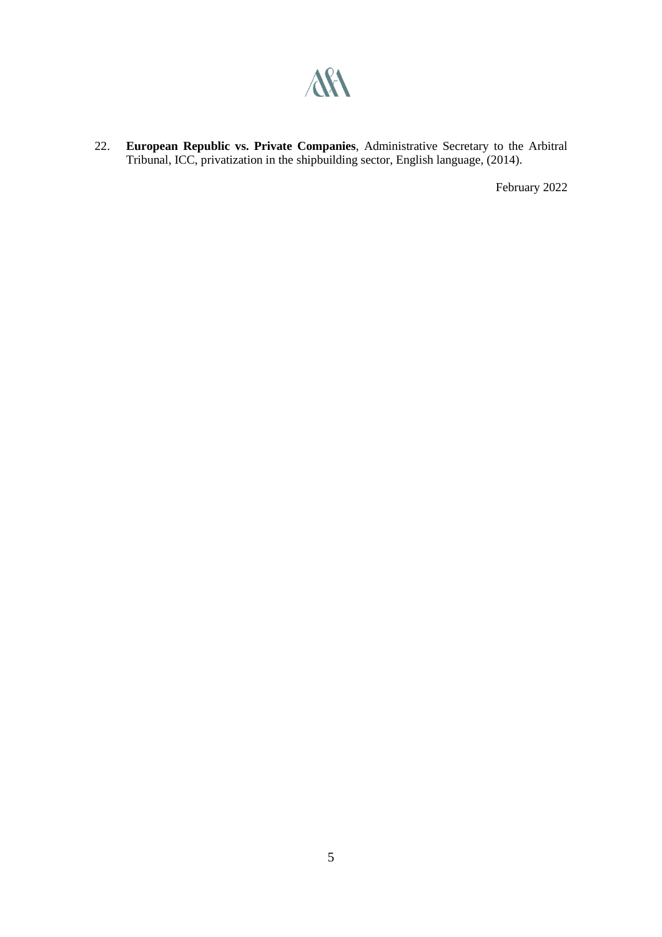

22. **European Republic vs. Private Companies**, Administrative Secretary to the Arbitral Tribunal, ICC, privatization in the shipbuilding sector, English language, (2014).

February 2022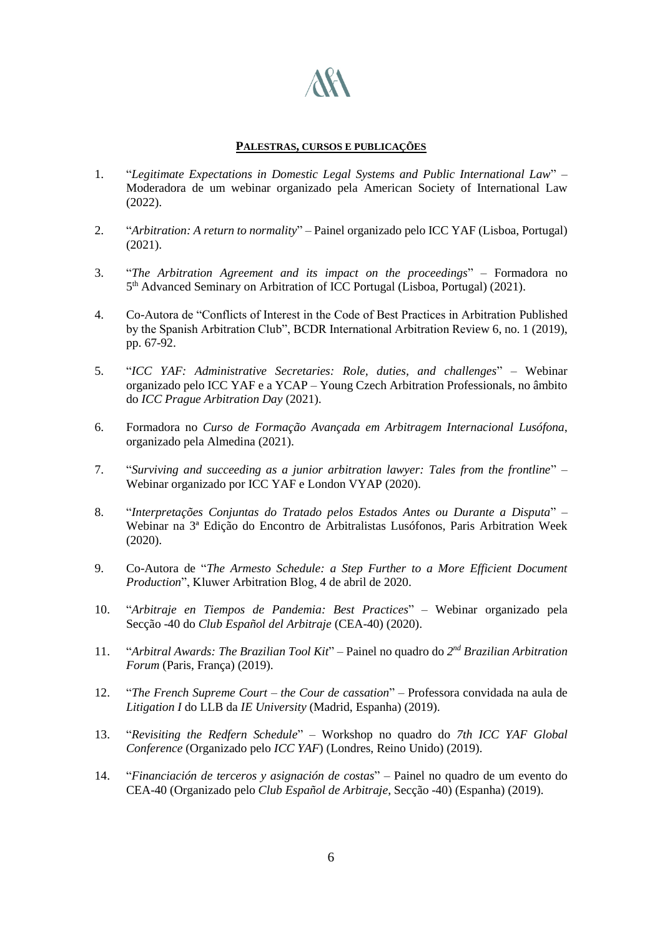

#### **PALESTRAS, CURSOS E PUBLICAÇÕES**

- 1. "*Legitimate Expectations in Domestic Legal Systems and Public International Law*" Moderadora de um webinar organizado pela American Society of International Law (2022).
- 2. "*Arbitration: A return to normality*" Painel organizado pelo ICC YAF (Lisboa, Portugal) (2021).
- 3. "*The Arbitration Agreement and its impact on the proceedings*" Formadora no 5 th Advanced Seminary on Arbitration of ICC Portugal (Lisboa, Portugal) (2021).
- 4. Co-Autora de "Conflicts of Interest in the Code of Best Practices in Arbitration Published by the Spanish Arbitration Club", BCDR International Arbitration Review 6, no. 1 (2019), pp. 67-92.
- 5. "*ICC YAF: Administrative Secretaries: Role, duties, and challenges*" Webinar organizado pelo ICC YAF e a YCAP – Young Czech Arbitration Professionals, no âmbito do *ICC Prague Arbitration Day* (2021).
- 6. Formadora no *Curso de Formação Avançada em Arbitragem Internacional Lusófona*, organizado pela Almedina (2021).
- 7. "*Surviving and succeeding as a junior arbitration lawyer: Tales from the frontline*" Webinar organizado por ICC YAF e London VYAP (2020).
- 8. "*Interpretações Conjuntas do Tratado pelos Estados Antes ou Durante a Disputa*" Webinar na 3ª Edição do Encontro de Arbitralistas Lusófonos, Paris Arbitration Week (2020).
- 9. Co-Autora de "*The Armesto Schedule: a Step Further to a More Efficient Document Production*", Kluwer Arbitration Blog, 4 de abril de 2020.
- 10. "*Arbitraje en Tiempos de Pandemia: Best Practices*" Webinar organizado pela Secção -40 do *Club Español del Arbitraje* (CEA-40) (2020).
- 11. "*Arbitral Awards: The Brazilian Tool Kit*" Painel no quadro do *2 nd Brazilian Arbitration Forum* (Paris, França) (2019).
- 12. "*The French Supreme Court – the Cour de cassation*" Professora convidada na aula de *Litigation I* do LLB da *IE University* (Madrid, Espanha) (2019).
- 13. "*Revisiting the Redfern Schedule*" Workshop no quadro do *7th ICC YAF Global Conference* (Organizado pelo *ICC YAF*) (Londres, Reino Unido) (2019).
- 14. "*Financiación de terceros y asignación de costas*" Painel no quadro de um evento do CEA-40 (Organizado pelo *Club Español de Arbitraje*, Secção -40) (Espanha) (2019).